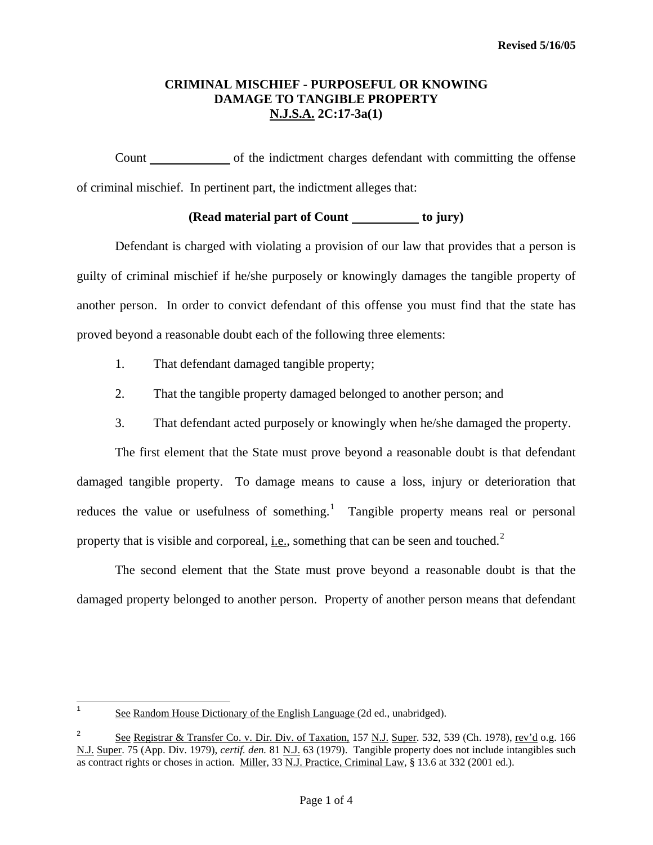# **CRIMINAL MISCHIEF - PURPOSEFUL OR KNOWING DAMAGE TO TANGIBLE PROPERTY N.J.S.A. 2C:17-3a(1)**

Count of the indictment charges defendant with committing the offense of criminal mischief. In pertinent part, the indictment alleges that:

# **(Read material part of Count to jury)**

 Defendant is charged with violating a provision of our law that provides that a person is guilty of criminal mischief if he/she purposely or knowingly damages the tangible property of another person. In order to convict defendant of this offense you must find that the state has proved beyond a reasonable doubt each of the following three elements:

- 1. That defendant damaged tangible property;
- 2. That the tangible property damaged belonged to another person; and
- 3. That defendant acted purposely or knowingly when he/she damaged the property.

 The first element that the State must prove beyond a reasonable doubt is that defendant damaged tangible property. To damage means to cause a loss, injury or deterioration that reduces the value or usefulness of something.<sup>[1](#page-0-0)</sup> Tangible property means real or personal property that is visible and corporeal, i.e., something that can be seen and touched. $2^2$  $2^2$ 

 The second element that the State must prove beyond a reasonable doubt is that the damaged property belonged to another person. Property of another person means that defendant

<span id="page-0-2"></span><span id="page-0-0"></span> $\frac{1}{1}$ See Random House Dictionary of the English Language (2d ed., unabridged).

<span id="page-0-1"></span><sup>2</sup> See Registrar & Transfer Co. v. Dir. Div. of Taxation, 157 N.J. Super. 532, 539 (Ch. 1978), rev'd o.g. 166 N.J. Super. 75 (App. Div. 1979), *certif. den.* 81 N.J. 63 (1979). Tangible property does not include intangibles such as contract rights or choses in action. Miller, 33 N.J. Practice, Criminal Law, § 13.6 at 332 (2001 ed.).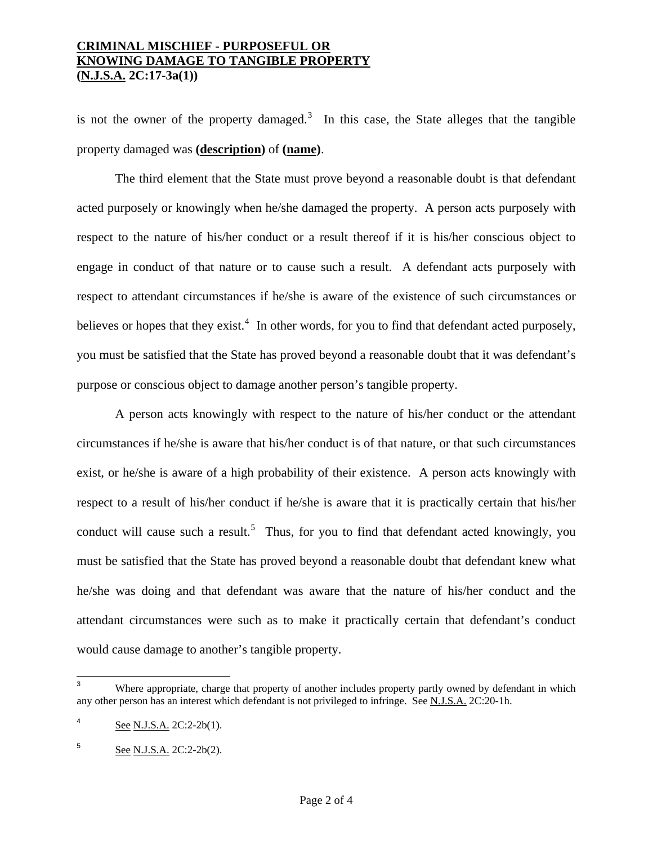## **CRIMINAL MISCHIEF - PURPOSEFUL OR KNOWING DAMAGE TO TANGIBLE PROPERTY (N.J.S.A. 2C:17-3a(1))**

is not the owner of the property damaged.<sup>[3](#page-0-2)</sup> In this case, the State alleges that the tangible property damaged was **(description)** of **(name)**.

 The third element that the State must prove beyond a reasonable doubt is that defendant acted purposely or knowingly when he/she damaged the property. A person acts purposely with respect to the nature of his/her conduct or a result thereof if it is his/her conscious object to engage in conduct of that nature or to cause such a result. A defendant acts purposely with respect to attendant circumstances if he/she is aware of the existence of such circumstances or believes or hopes that they exist.<sup>[4](#page-1-0)</sup> In other words, for you to find that defendant acted purposely, you must be satisfied that the State has proved beyond a reasonable doubt that it was defendant's purpose or conscious object to damage another person's tangible property.

 A person acts knowingly with respect to the nature of his/her conduct or the attendant circumstances if he/she is aware that his/her conduct is of that nature, or that such circumstances exist, or he/she is aware of a high probability of their existence. A person acts knowingly with respect to a result of his/her conduct if he/she is aware that it is practically certain that his/her conduct will cause such a result.<sup>[5](#page-1-1)</sup> Thus, for you to find that defendant acted knowingly, you must be satisfied that the State has proved beyond a reasonable doubt that defendant knew what he/she was doing and that defendant was aware that the nature of his/her conduct and the attendant circumstances were such as to make it practically certain that defendant's conduct would cause damage to another's tangible property.

<span id="page-1-2"></span><sup>-&</sup>lt;br>3 Where appropriate, charge that property of another includes property partly owned by defendant in which any other person has an interest which defendant is not privileged to infringe. See N.J.S.A. 2C:20-1h.

<span id="page-1-0"></span><sup>4</sup> See N.J.S.A. 2C:2-2b(1).

<span id="page-1-1"></span><sup>5</sup> See N.J.S.A. 2C:2-2b(2).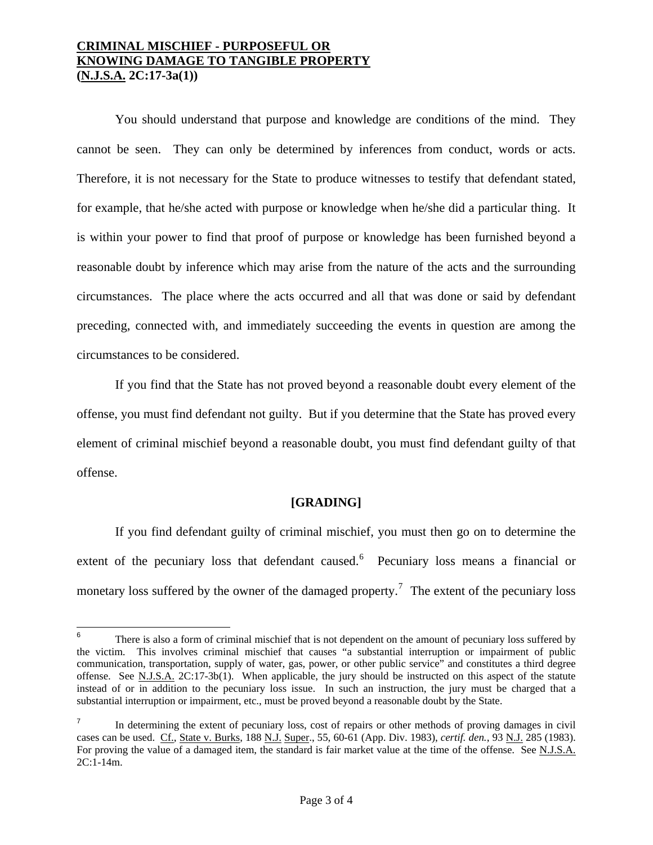## **CRIMINAL MISCHIEF - PURPOSEFUL OR KNOWING DAMAGE TO TANGIBLE PROPERTY (N.J.S.A. 2C:17-3a(1))**

 You should understand that purpose and knowledge are conditions of the mind. They cannot be seen. They can only be determined by inferences from conduct, words or acts. Therefore, it is not necessary for the State to produce witnesses to testify that defendant stated, for example, that he/she acted with purpose or knowledge when he/she did a particular thing. It is within your power to find that proof of purpose or knowledge has been furnished beyond a reasonable doubt by inference which may arise from the nature of the acts and the surrounding circumstances. The place where the acts occurred and all that was done or said by defendant preceding, connected with, and immediately succeeding the events in question are among the circumstances to be considered.

 If you find that the State has not proved beyond a reasonable doubt every element of the offense, you must find defendant not guilty. But if you determine that the State has proved every element of criminal mischief beyond a reasonable doubt, you must find defendant guilty of that offense.

#### **[GRADING]**

 If you find defendant guilty of criminal mischief, you must then go on to determine the extent of the pecuniary loss that defendant caused.<sup>[6](#page-1-2)</sup> Pecuniary loss means a financial or monetary loss suffered by the owner of the damaged property.<sup>[7](#page-2-0)</sup> The extent of the pecuniary loss

<sup>—&</sup>lt;br>6 There is also a form of criminal mischief that is not dependent on the amount of pecuniary loss suffered by the victim. This involves criminal mischief that causes "a substantial interruption or impairment of public communication, transportation, supply of water, gas, power, or other public service" and constitutes a third degree offense. See N.J.S.A. 2C:17-3b(1). When applicable, the jury should be instructed on this aspect of the statute instead of or in addition to the pecuniary loss issue. In such an instruction, the jury must be charged that a substantial interruption or impairment, etc., must be proved beyond a reasonable doubt by the State.

<span id="page-2-1"></span><span id="page-2-0"></span><sup>7</sup> In determining the extent of pecuniary loss, cost of repairs or other methods of proving damages in civil cases can be used. Cf., State v. Burks, 188 N.J. Super., 55, 60-61 (App. Div. 1983), *certif. den.*, 93 N.J. 285 (1983). For proving the value of a damaged item, the standard is fair market value at the time of the offense. See N.J.S.A. 2C:1-14m.